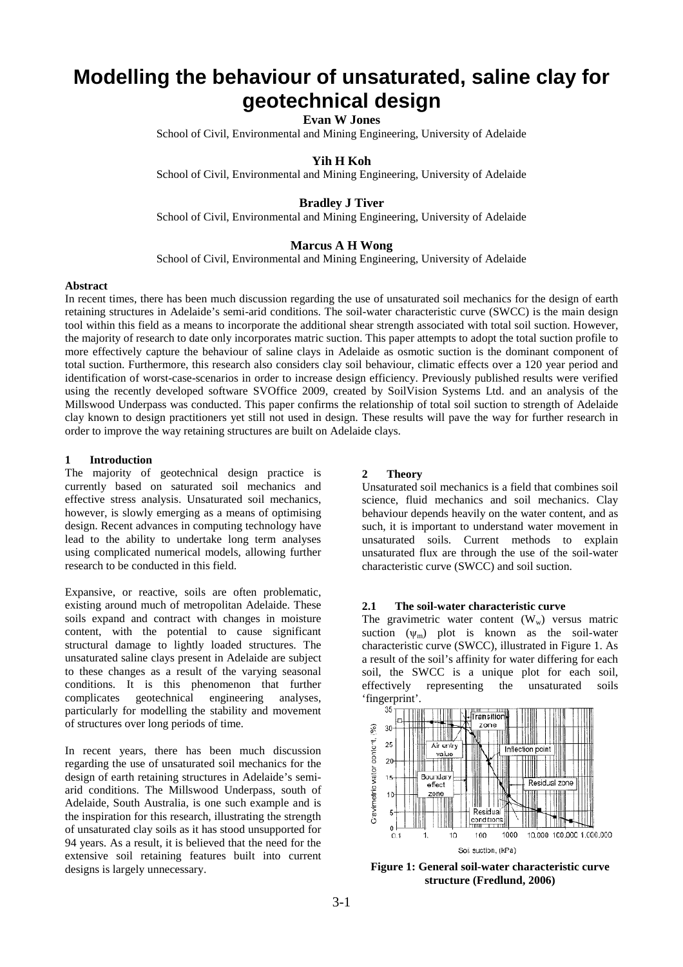# **Modelling the behaviour of unsaturated, saline clay for geotechnical design**

## **Evan W Jones**

School of Civil, Environmental and Mining Engineering, University of Adelaide

## **Yih H Koh**

School of Civil, Environmental and Mining Engineering, University of Adelaide

## **Bradley J Tiver**

School of Civil, Environmental and Mining Engineering, University of Adelaide

## **Marcus A H Wong**

School of Civil, Environmental and Mining Engineering, University of Adelaide

#### **Abstract**

In recent times, there has been much discussion regarding the use of unsaturated soil mechanics for the design of earth retaining structures in Adelaide's semi-arid conditions. The soil-water characteristic curve (SWCC) is the main design tool within this field as a means to incorporate the additional shear strength associated with total soil suction. However, the majority of research to date only incorporates matric suction. This paper attempts to adopt the total suction profile to more effectively capture the behaviour of saline clays in Adelaide as osmotic suction is the dominant component of total suction. Furthermore, this research also considers clay soil behaviour, climatic effects over a 120 year period and identification of worst-case-scenarios in order to increase design efficiency. Previously published results were verified using the recently developed software SVOffice 2009, created by SoilVision Systems Ltd. and an analysis of the Millswood Underpass was conducted. This paper confirms the relationship of total soil suction to strength of Adelaide clay known to design practitioners yet still not used in design. These results will pave the way for further research in order to improve the way retaining structures are built on Adelaide clays.

#### **1 Introduction**

The majority of geotechnical design practice is currently based on saturated soil mechanics and effective stress analysis. Unsaturated soil mechanics, however, is slowly emerging as a means of optimising design. Recent advances in computing technology have lead to the ability to undertake long term analyses using complicated numerical models, allowing further research to be conducted in this field.

Expansive, or reactive, soils are often problematic, existing around much of metropolitan Adelaide. These soils expand and contract with changes in moisture content, with the potential to cause significant structural damage to lightly loaded structures. The unsaturated saline clays present in Adelaide are subject to these changes as a result of the varying seasonal conditions. It is this phenomenon that further complicates geotechnical engineering analyses, particularly for modelling the stability and movement of structures over long periods of time.

In recent years, there has been much discussion regarding the use of unsaturated soil mechanics for the design of earth retaining structures in Adelaide's semiarid conditions. The Millswood Underpass, south of Adelaide, South Australia, is one such example and is the inspiration for this research, illustrating the strength of unsaturated clay soils as it has stood unsupported for 94 years. As a result, it is believed that the need for the extensive soil retaining features built into current designs is largely unnecessary.

#### **2 Theory**

Unsaturated soil mechanics is a field that combines soil science, fluid mechanics and soil mechanics. Clay behaviour depends heavily on the water content, and as such, it is important to understand water movement in unsaturated soils. Current methods to explain unsaturated flux are through the use of the soil-water characteristic curve (SWCC) and soil suction.

#### **2.1 The soil-water characteristic curve**

The gravimetric water content  $(W_w)$  versus matric suction  $(\psi_m)$  plot is known as the soil-water characteristic curve (SWCC), illustrated in Figure 1. As a result of the soil's affinity for water differing for each soil, the SWCC is a unique plot for each soil, effectively representing the unsaturated soils 'fingerprint'.



**Figure 1: General soil-water characteristic curve structure (Fredlund, 2006)**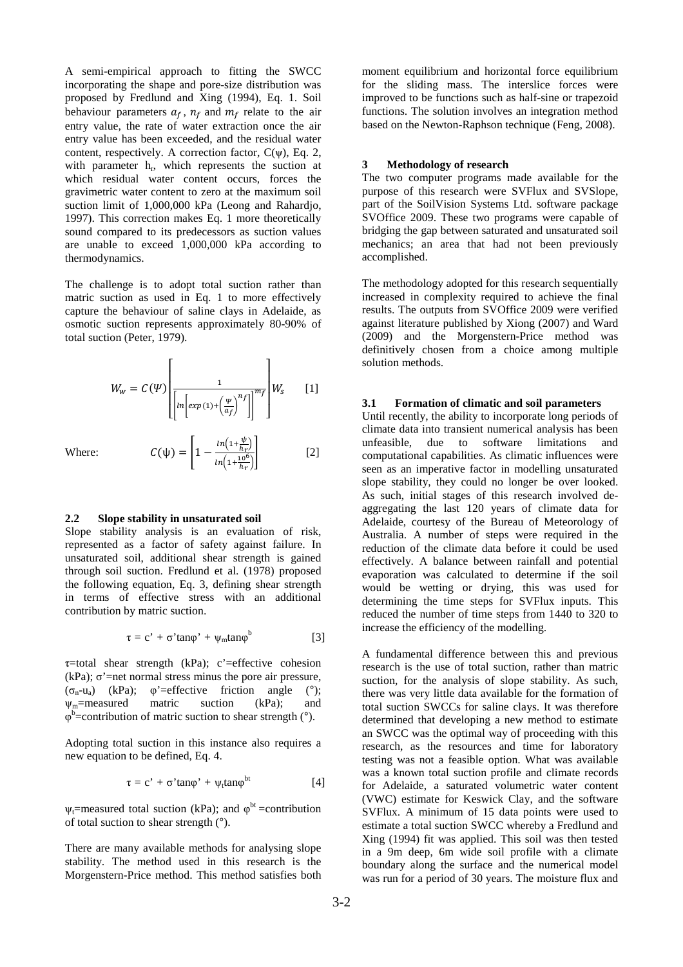A semi-empirical approach to fitting the SWCC incorporating the shape and pore-size distribution was proposed by Fredlund and Xing (1994), Eq. 1. Soil behaviour parameters  $a_f$ ,  $n_f$  and  $m_f$  relate to the air entry value, the rate of water extraction once the air entry value has been exceeded, and the residual water content, respectively. A correction factor,  $C(\psi)$ , Eq. 2, with parameter h<sub>r</sub>, which represents the suction at which residual water content occurs, forces the gravimetric water content to zero at the maximum soil suction limit of 1,000,000 kPa (Leong and Rahardjo, 1997). This correction makes Eq. 1 more theoretically sound compared to its predecessors as suction values are unable to exceed 1,000,000 kPa according to thermodynamics.

The challenge is to adopt total suction rather than matric suction as used in Eq. 1 to more effectively capture the behaviour of saline clays in Adelaide, as osmotic suction represents approximately 80-90% of total suction (Peter, 1979).

$$
W_w = C(\Psi) \left[ \frac{1}{\left[ ln \left[ exp(1) + \left( \frac{\Psi}{a_f} \right)^{n_f} \right] \right]^{m_f}} \right] W_s \qquad [1]
$$

 $ln(1+\frac{10^6}{hx})$  $h_T$ 

[2]

Where:  $C(\psi) = \left| 1 - \frac{\ln(1 + \frac{\psi}{h_r})}{\ln(1 + \frac{10^{6\gamma}}{h_r})} \right|$ 

#### **2.2 Slope stability in unsaturated soil**

Slope stability analysis is an evaluation of risk, represented as a factor of safety against failure. In unsaturated soil, additional shear strength is gained through soil suction. Fredlund et al. (1978) proposed the following equation, Eq. 3, defining shear strength in terms of effective stress with an additional contribution by matric suction.

$$
\tau = c' + \sigma' \tan\varphi' + \psi_m \tan\varphi^b
$$
 [3]

 $\tau$ =total shear strength (kPa); c'=effective cohesion (kPa);  $\sigma'$ =net normal stress minus the pore air pressure,  $(\sigma_n-u_a)$  (kPa);  $\varphi'$ =effective friction angle (°);  $\Psi_m$ =measured matric suction (kPa); and  $\varphi^b$ =contribution of matric suction to shear strength (°).

Adopting total suction in this instance also requires a new equation to be defined, Eq. 4.

$$
\tau = c' + \sigma' \tan\varphi' + \psi_t \tan\varphi^{bt}
$$
 [4]

 $\psi_t$ =measured total suction (kPa); and  $\varphi^{bt}$ =contribution of total suction to shear strength (°).

There are many available methods for analysing slope stability. The method used in this research is the Morgenstern-Price method. This method satisfies both moment equilibrium and horizontal force equilibrium for the sliding mass. The interslice forces were improved to be functions such as half-sine or trapezoid functions. The solution involves an integration method based on the Newton-Raphson technique (Feng, 2008).

#### **3 Methodology of research**

The two computer programs made available for the purpose of this research were SVFlux and SVSlope, part of the SoilVision Systems Ltd. software package SVOffice 2009. These two programs were capable of bridging the gap between saturated and unsaturated soil mechanics; an area that had not been previously accomplished.

The methodology adopted for this research sequentially increased in complexity required to achieve the final results. The outputs from SVOffice 2009 were verified against literature published by Xiong (2007) and Ward (2009) and the Morgenstern-Price method was definitively chosen from a choice among multiple solution methods.

#### **3.1 Formation of climatic and soil parameters**

Until recently, the ability to incorporate long periods of climate data into transient numerical analysis has been unfeasible, due to software limitations and computational capabilities. As climatic influences were seen as an imperative factor in modelling unsaturated slope stability, they could no longer be over looked. As such, initial stages of this research involved deaggregating the last 120 years of climate data for Adelaide, courtesy of the Bureau of Meteorology of Australia. A number of steps were required in the reduction of the climate data before it could be used effectively. A balance between rainfall and potential evaporation was calculated to determine if the soil would be wetting or drying, this was used for determining the time steps for SVFlux inputs. This reduced the number of time steps from 1440 to 320 to increase the efficiency of the modelling.

A fundamental difference between this and previous research is the use of total suction, rather than matric suction, for the analysis of slope stability. As such, there was very little data available for the formation of total suction SWCCs for saline clays. It was therefore determined that developing a new method to estimate an SWCC was the optimal way of proceeding with this research, as the resources and time for laboratory testing was not a feasible option. What was available was a known total suction profile and climate records for Adelaide, a saturated volumetric water content (VWC) estimate for Keswick Clay, and the software SVFlux. A minimum of 15 data points were used to estimate a total suction SWCC whereby a Fredlund and Xing (1994) fit was applied. This soil was then tested in a 9m deep, 6m wide soil profile with a climate boundary along the surface and the numerical model was run for a period of 30 years. The moisture flux and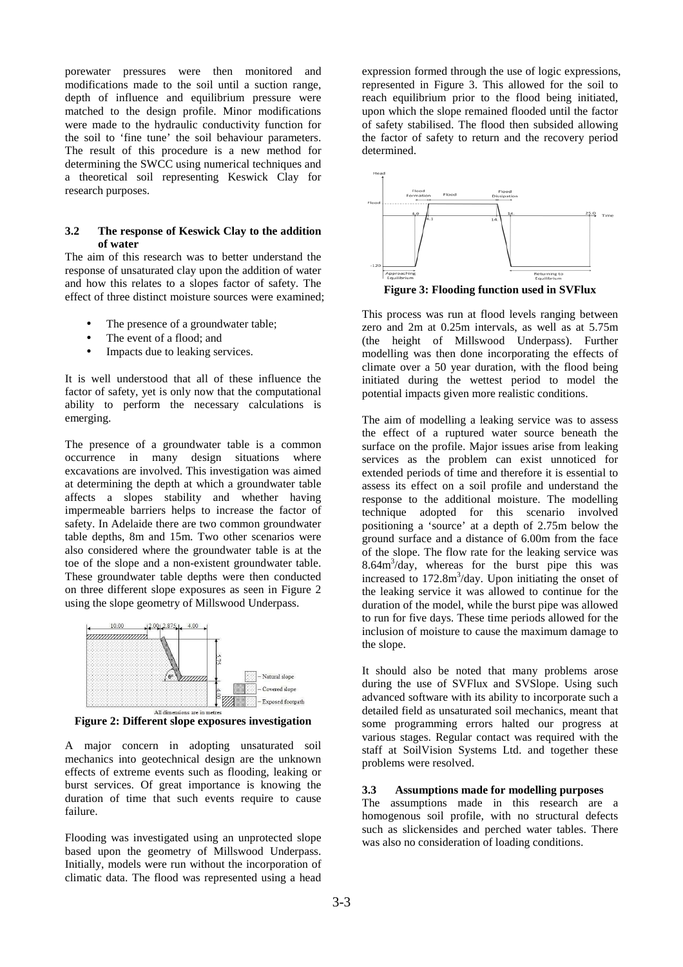porewater pressures were then monitored and modifications made to the soil until a suction range, depth of influence and equilibrium pressure were matched to the design profile. Minor modifications were made to the hydraulic conductivity function for the soil to 'fine tune' the soil behaviour parameters. The result of this procedure is a new method for determining the SWCC using numerical techniques and a theoretical soil representing Keswick Clay for research purposes.

#### **3.2 The response of Keswick Clay to the addition of water**

The aim of this research was to better understand the response of unsaturated clay upon the addition of water and how this relates to a slopes factor of safety. The effect of three distinct moisture sources were examined;

- The presence of a groundwater table;
- The event of a flood; and
- Impacts due to leaking services.

It is well understood that all of these influence the factor of safety, yet is only now that the computational ability to perform the necessary calculations is emerging.

The presence of a groundwater table is a common occurrence in many design situations where excavations are involved. This investigation was aimed at determining the depth at which a groundwater table affects a slopes stability and whether having impermeable barriers helps to increase the factor of safety. In Adelaide there are two common groundwater table depths, 8m and 15m. Two other scenarios were also considered where the groundwater table is at the toe of the slope and a non-existent groundwater table. These groundwater table depths were then conducted on three different slope exposures as seen in Figure 2 using the slope geometry of Millswood Underpass.



**Figure 2: Different slope exposures investigation** 

A major concern in adopting unsaturated soil mechanics into geotechnical design are the unknown effects of extreme events such as flooding, leaking or burst services. Of great importance is knowing the duration of time that such events require to cause failure.

Flooding was investigated using an unprotected slope based upon the geometry of Millswood Underpass. Initially, models were run without the incorporation of climatic data. The flood was represented using a head expression formed through the use of logic expressions, represented in Figure 3. This allowed for the soil to reach equilibrium prior to the flood being initiated, upon which the slope remained flooded until the factor of safety stabilised. The flood then subsided allowing the factor of safety to return and the recovery period determined.



**Figure 3: Flooding function used in SVFlux** 

This process was run at flood levels ranging between zero and 2m at 0.25m intervals, as well as at 5.75m (the height of Millswood Underpass). Further modelling was then done incorporating the effects of climate over a 50 year duration, with the flood being initiated during the wettest period to model the potential impacts given more realistic conditions.

The aim of modelling a leaking service was to assess the effect of a ruptured water source beneath the surface on the profile. Major issues arise from leaking services as the problem can exist unnoticed for extended periods of time and therefore it is essential to assess its effect on a soil profile and understand the response to the additional moisture. The modelling technique adopted for this scenario involved positioning a 'source' at a depth of 2.75m below the ground surface and a distance of 6.00m from the face of the slope. The flow rate for the leaking service was 8.64m<sup>3</sup> /day, whereas for the burst pipe this was increased to  $172.8 \text{m}^3/\text{day}$ . Upon initiating the onset of the leaking service it was allowed to continue for the duration of the model, while the burst pipe was allowed to run for five days. These time periods allowed for the inclusion of moisture to cause the maximum damage to the slope.

It should also be noted that many problems arose during the use of SVFlux and SVSlope. Using such advanced software with its ability to incorporate such a detailed field as unsaturated soil mechanics, meant that some programming errors halted our progress at various stages. Regular contact was required with the staff at SoilVision Systems Ltd. and together these problems were resolved.

## **3.3 Assumptions made for modelling purposes**

The assumptions made in this research are a homogenous soil profile, with no structural defects such as slickensides and perched water tables. There was also no consideration of loading conditions.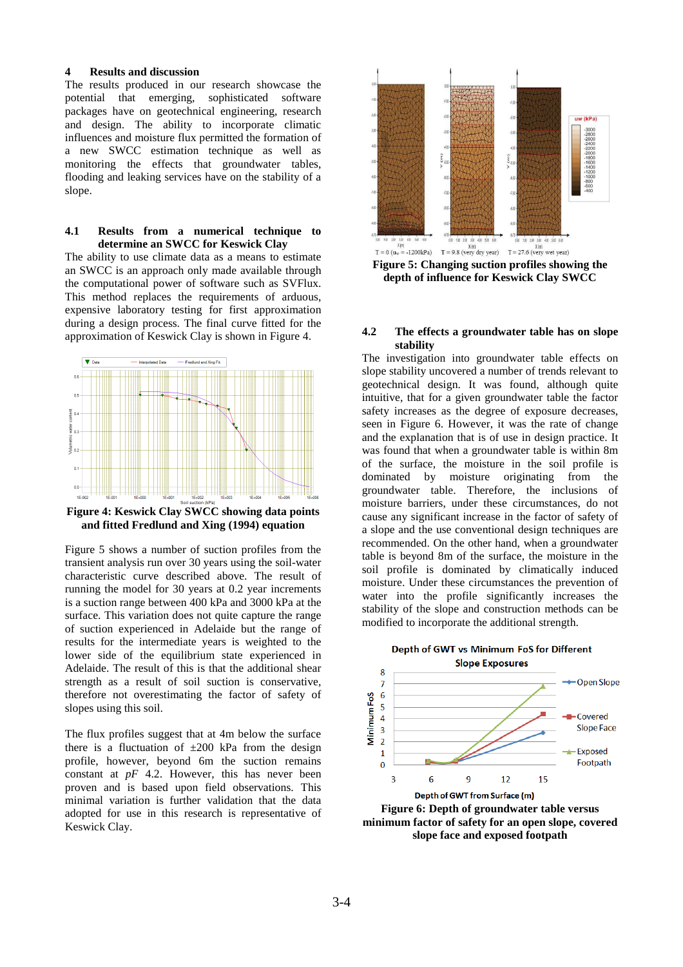### **4 Results and discussion**

The results produced in our research showcase the potential that emerging, sophisticated software packages have on geotechnical engineering, research and design. The ability to incorporate climatic influences and moisture flux permitted the formation of a new SWCC estimation technique as well as monitoring the effects that groundwater tables, flooding and leaking services have on the stability of a slope.

### **4.1 Results from a numerical technique to determine an SWCC for Keswick Clay**

The ability to use climate data as a means to estimate an SWCC is an approach only made available through the computational power of software such as SVFlux. This method replaces the requirements of arduous, expensive laboratory testing for first approximation during a design process. The final curve fitted for the approximation of Keswick Clay is shown in Figure 4.



**Figure 4: Keswick Clay SWCC showing data points and fitted Fredlund and Xing (1994) equation**

Figure 5 shows a number of suction profiles from the transient analysis run over 30 years using the soil-water characteristic curve described above. The result of running the model for 30 years at 0.2 year increments is a suction range between 400 kPa and 3000 kPa at the surface. This variation does not quite capture the range of suction experienced in Adelaide but the range of results for the intermediate years is weighted to the lower side of the equilibrium state experienced in Adelaide. The result of this is that the additional shear strength as a result of soil suction is conservative, therefore not overestimating the factor of safety of slopes using this soil.

The flux profiles suggest that at 4m below the surface there is a fluctuation of  $\pm 200$  kPa from the design profile, however, beyond 6m the suction remains constant at *pF* 4.2. However, this has never been proven and is based upon field observations. This minimal variation is further validation that the data adopted for use in this research is representative of Keswick Clay.



**Figure 5: Changing suction profiles showing the depth of influence for Keswick Clay SWCC** 

#### **4.2 The effects a groundwater table has on slope stability**

The investigation into groundwater table effects on slope stability uncovered a number of trends relevant to geotechnical design. It was found, although quite intuitive, that for a given groundwater table the factor safety increases as the degree of exposure decreases, seen in Figure 6. However, it was the rate of change and the explanation that is of use in design practice. It was found that when a groundwater table is within 8m of the surface, the moisture in the soil profile is dominated by moisture originating from the groundwater table. Therefore, the inclusions of moisture barriers, under these circumstances, do not cause any significant increase in the factor of safety of a slope and the use conventional design techniques are recommended. On the other hand, when a groundwater table is beyond 8m of the surface, the moisture in the soil profile is dominated by climatically induced moisture. Under these circumstances the prevention of water into the profile significantly increases the stability of the slope and construction methods can be modified to incorporate the additional strength.



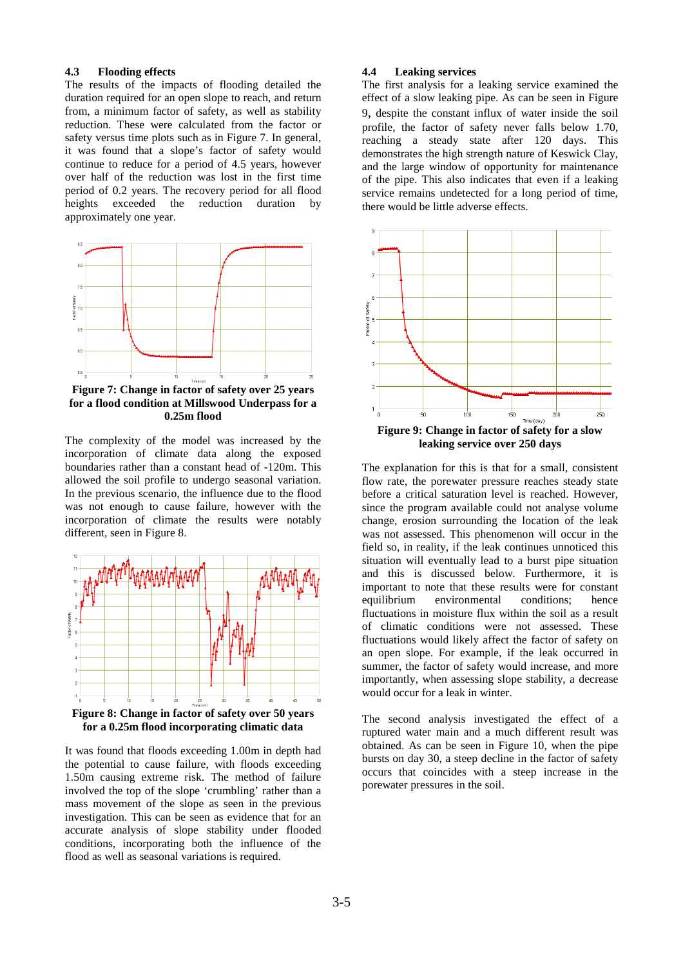### **4.3 Flooding effects**

The results of the impacts of flooding detailed the duration required for an open slope to reach, and return from, a minimum factor of safety, as well as stability reduction. These were calculated from the factor or safety versus time plots such as in Figure 7. In general, it was found that a slope's factor of safety would continue to reduce for a period of 4.5 years, however over half of the reduction was lost in the first time period of 0.2 years. The recovery period for all flood heights exceeded the reduction duration by approximately one year.



**Figure 7: Change in factor of safety over 25 years for a flood condition at Millswood Underpass for a 0.25m flood** 

The complexity of the model was increased by the incorporation of climate data along the exposed boundaries rather than a constant head of -120m. This allowed the soil profile to undergo seasonal variation. In the previous scenario, the influence due to the flood was not enough to cause failure, however with the incorporation of climate the results were notably different, seen in Figure 8.



**for a 0.25m flood incorporating climatic data** 

It was found that floods exceeding 1.00m in depth had the potential to cause failure, with floods exceeding 1.50m causing extreme risk. The method of failure involved the top of the slope 'crumbling' rather than a mass movement of the slope as seen in the previous investigation. This can be seen as evidence that for an accurate analysis of slope stability under flooded conditions, incorporating both the influence of the flood as well as seasonal variations is required.

## **4.4 Leaking services**

The first analysis for a leaking service examined the effect of a slow leaking pipe. As can be seen in Figure 9, despite the constant influx of water inside the soil profile, the factor of safety never falls below 1.70, reaching a steady state after 120 days. This demonstrates the high strength nature of Keswick Clay, and the large window of opportunity for maintenance of the pipe. This also indicates that even if a leaking service remains undetected for a long period of time, there would be little adverse effects.



**Figure 9: Change in factor of safety for a slow leaking service over 250 days** 

The explanation for this is that for a small, consistent flow rate, the porewater pressure reaches steady state before a critical saturation level is reached. However, since the program available could not analyse volume change, erosion surrounding the location of the leak was not assessed. This phenomenon will occur in the field so, in reality, if the leak continues unnoticed this situation will eventually lead to a burst pipe situation and this is discussed below. Furthermore, it is important to note that these results were for constant equilibrium environmental conditions; hence fluctuations in moisture flux within the soil as a result of climatic conditions were not assessed. These fluctuations would likely affect the factor of safety on an open slope. For example, if the leak occurred in summer, the factor of safety would increase, and more importantly, when assessing slope stability, a decrease would occur for a leak in winter.

The second analysis investigated the effect of a ruptured water main and a much different result was obtained. As can be seen in Figure 10, when the pipe bursts on day 30, a steep decline in the factor of safety occurs that coincides with a steep increase in the porewater pressures in the soil.